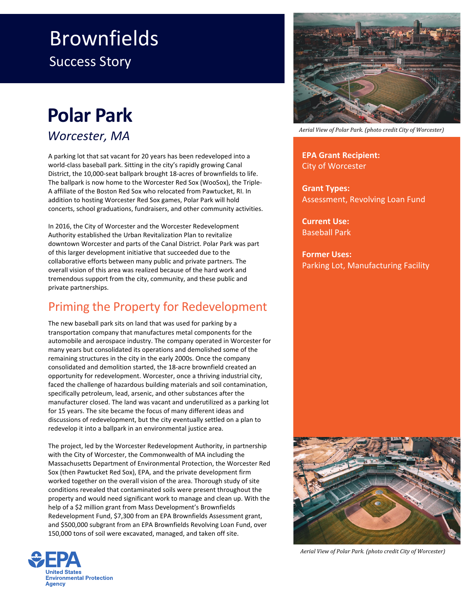## Brownfields Success Story

## **Polar Park**

*Worcester, MA*

A parking lot that sat vacant for 20 years has been redeveloped into a world-class baseball park. Sitting in the city's rapidly growing Canal District, the 10,000-seat ballpark brought 18-acres of brownfields to life. The ballpark is now home to the Worcester Red Sox (WooSox), the Triple-A affiliate of the Boston Red Sox who relocated from Pawtucket, RI. In addition to hosting Worcester Red Sox games, Polar Park will hold concerts, school graduations, fundraisers, and other community activities.

In 2016, the City of Worcester and the Worcester Redevelopment Authority established the Urban Revitalization Plan to revitalize downtown Worcester and parts of the Canal District. Polar Park was part of this larger development initiative that succeeded due to the collaborative efforts between many public and private partners. The overall vision of this area was realized because of the hard work and tremendous support from the city, community, and these public and private partnerships.

## Priming the Property for Redevelopment

The new baseball park sits on land that was used for parking by a transportation company that manufactures metal components for the automobile and aerospace industry. The company operated in Worcester for many years but consolidated its operations and demolished some of the remaining structures in the city in the early 2000s. Once the company consolidated and demolition started, the 18-acre brownfield created an opportunity for redevelopment. Worcester, once a thriving industrial city, faced the challenge of hazardous building materials and soil contamination, specifically petroleum, lead, arsenic, and other substances after the manufacturer closed. The land was vacant and underutilized as a parking lot for 15 years. The site became the focus of many different ideas and discussions of redevelopment, but the city eventually settled on a plan to redevelop it into a ballpark in an environmental justice area.

The project, led by the Worcester Redevelopment Authority, in partnership with the City of Worcester, the Commonwealth of MA including the Massachusetts Department of Environmental Protection, the Worcester Red Sox (then Pawtucket Red Sox), EPA, and the private development firm worked together on the overall vision of the area. Thorough study of site conditions revealed that contaminated soils were present throughout the property and would need significant work to manage and clean up. With the help of a \$2 million grant from Mass Development's Brownfields Redevelopment Fund, \$7,300 from an EPA Brownfields Assessment grant, and \$500,000 subgrant from an EPA Brownfields Revolving Loan Fund, over 150,000 tons of soil were excavated, managed, and taken off site.





*Aerial View of Polar Park. (photo credit City of Worcester)*

**EPA Grant Recipient:** City of Worcester

**Grant Types:** Assessment, Revolving Loan Fund

**Current Use:**  Baseball Park

**Former Uses:** Parking Lot, Manufacturing Facility



*Aerial View of Polar Park. (photo credit City of Worcester)*